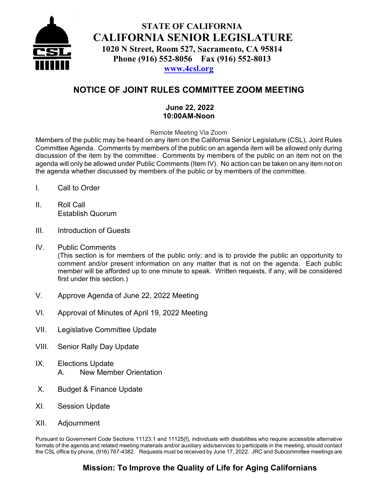

## **STATE OF CALIFORNIA CALIFORNIA SENIOR LEGISLATURE 1020 N Street, Room 527, Sacramento, CA 95814 Phone (916) 552-8056 Fax (916) 552-8013**

### **[www.4csl.org](http://www.4csl.org/)**

## **NOTICE OF JOINT RULES COMMITTEE ZOOM MEETING**

#### **June 22, 2022 10:00AM-Noon**

Remote Meeting Via Zoom

Members of the public may be heard on any item on the California Senior Legislature (CSL), Joint Rules Committee Agenda. Comments by members of the public on an agenda item will be allowed only during discussion of the item by the committee. Comments by members of the public on an item not on the agenda will only be allowed under Public Comments (Item IV). No action can be taken on any item not on the agenda whether discussed by members of the public or by members of the committee.

- I. Call to Order
- II. Roll Call Establish Quorum
- III. Introduction of Guests
- IV. Public Comments (This section is for members of the public only; and is to provide the public an opportunity to comment and/or present information on any matter that is not on the agenda. Each public member will be afforded up to one minute to speak. Written requests, if any, will be considered first under this section.)
- V. Approve Agenda of June 22, 2022 Meeting
- VI. Approval of Minutes of April 19, 2022 Meeting
- VII. Legislative Committee Update
- VIII. Senior Rally Day Update
- IX. Elections Update A. New Member Orientation
- X. Budget & Finance Update
- XI. Session Update
- XII. Adjournment

Pursuant to Government Code Sections 11123.1 and 11125(f), individuals with disabilities who require accessible alternative formats of the agenda and related meeting materials and/or auxiliary aids/services to participate in the meeting, should contact the CSL office by phone, (916) 767-4382. Requests must be received by June 17, 2022. JRC and Subcommittee meetings are

## **Mission: To Improve the Quality of Life for Aging Californians**